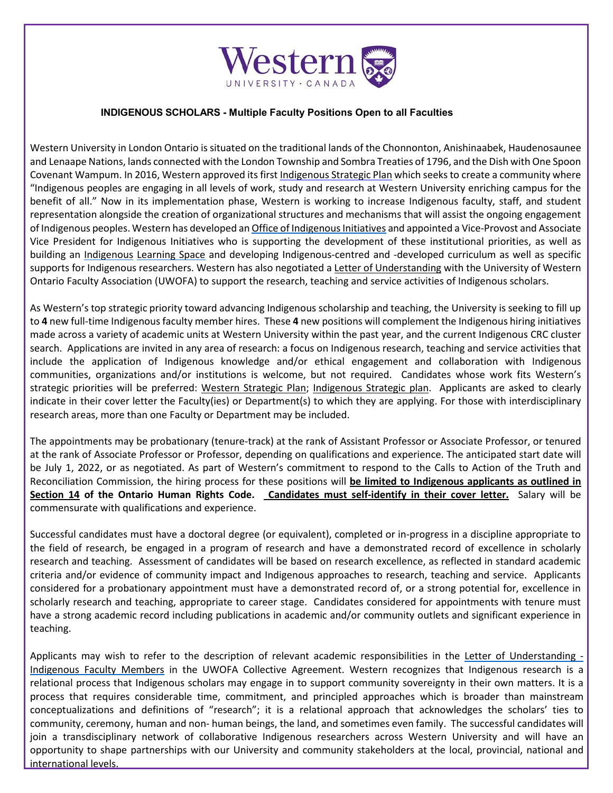

## **INDIGENOUS SCHOLARS - Multiple Faculty Positions Open to all Faculties**

 and Lenaape Nations, lands connected with the London Township and Sombra Treaties of 1796, and the Dish with One Spoon Covenant Wampum. In 2016, Western approved its firs[t Indigenous Strategic Plan w](https://indigenous.uwo.ca/initiatives/plan-reports.html)hich seeks to create a community where Vice President for Indigenous Initiatives who is supporting the development of these institutional priorities, as well as Ontario Faculty Association (UWOFA) to support the research, teaching and service activities of Indigenous scholars. Western University in London Ontario is situated on the traditional lands of the Chonnonton, Anishinaabek, Haudenosaunee "Indigenous peoples are engaging in all levels of work, study and research at Western University enriching campus for the benefit of all." Now in its implementation phase, Western is working to increase Indigenous faculty, staff, and student representation alongside the creation of organizational structures and mechanisms that will assist the ongoing engagement of Indigenous peoples. Western has developed a[n Office of Indigenous Initiatives a](https://indigenous.uwo.ca/)nd appointed a Vice-Provost and Associate building an [Indigenous Learning Space a](https://indigenouslearningspace.uwo.ca/)nd developing Indigenous-centred and -developed curriculum as well as specific supports for Indigenous researchers. Western has also negotiated a [Letter of Understanding](https://www.uwo.ca/facultyrelations/faculty_relations/faculty/LOU---Indigenous-Faculty-Members---AODA-check-website.pdf) with the University of Western

 made across a variety of academic units at Western University within the past year, and the current Indigenous CRC cluster search. Applications are invited in any area of research: a focus on Indigenous research, teaching and service activities that indicate in their cover letter the Faculty(ies) or Department(s) to which they are applying. For those with interdisciplinary research areas, more than one Faculty or Department may be included. As Western's top strategic priority toward advancing Indigenous scholarship and teaching, the University is seeking to fill up to **4** new full-time Indigenous faculty member hires. These **4** new positions will complement the Indigenous hiring initiatives include the application of Indigenous knowledge and/or ethical engagement and collaboration with Indigenous communities, organizations and/or institutions is welcome, but not required. Candidates whose work fits Western's strategic priorities will be preferred: [Western Strategic Plan;](https://strategicplan.uwo.ca/) [Indigenous Strategic plan.](https://indigenous.uwo.ca/initiatives/docs/Indigenous-Strat-Plan---Final.pdf) Applicants are asked to clearly

 The appointments may be probationary (tenure-track) at the rank of Assistant Professor or Associate Professor, or tenured at the rank of Associate Professor or Professor, depending on qualifications and experience. The anticipated start date will  **Section 14 of the Ontario Human Rights Code. Candidates must self-identify in their cover letter.** Salary will be be July 1, 2022, or as negotiated. As part of Western's commitment to respond to the Calls to Action of the Truth and Reconciliation Commission, the hiring process for these positions will **be limited to Indigenous applicants as outlined in**  commensurate with qualifications and experience.

 considered for a probationary appointment must have a demonstrated record of, or a strong potential for, excellence in scholarly research and teaching, appropriate to career stage. Candidates considered for appointments with tenure must Successful candidates must have a doctoral degree (or equivalent), completed or in-progress in a discipline appropriate to the field of research, be engaged in a program of research and have a demonstrated record of excellence in scholarly research and teaching. Assessment of candidates will be based on research excellence, as reflected in standard academic criteria and/or evidence of community impact and Indigenous approaches to research, teaching and service. Applicants have a strong academic record including publications in academic and/or community outlets and significant experience in teaching.

Applicants may wish to refer to the description of relevant academic responsibilities in the [Letter of Understanding -](https://www.uwo.ca/facultyrelations/faculty_relations/faculty/LOU---Indigenous-Faculty-Members---AODA-check-website.pdf) [Indigenous Faculty Members i](https://www.uwo.ca/facultyrelations/faculty_relations/faculty/LOU---Indigenous-Faculty-Members---AODA-check-website.pdf)n the UWOFA Collective Agreement. Western recognizes that Indigenous research is a relational process that Indigenous scholars may engage in to support community sovereignty in their own matters. It is a process that requires considerable time, commitment, and principled approaches which is broader than mainstream community, ceremony, human and non- human beings, the land, and sometimes even family. The successful candidates will conceptualizations and definitions of "research"; it is a relational approach that acknowledges the scholars' ties to join a transdisciplinary network of collaborative Indigenous researchers across Western University and will have an opportunity to shape partnerships with our University and community stakeholders at the local, provincial, national and international levels.